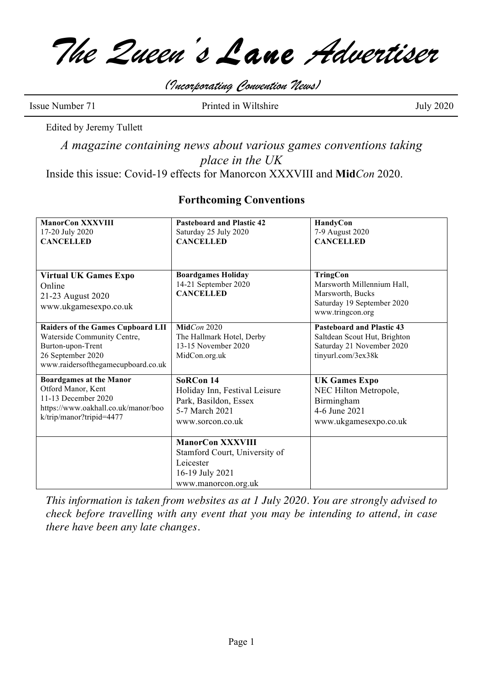*The Queen's Lane Advertiser*

*(Incorporating Convention News)*

Issue Number 71 Printed in Wiltshire July 2020

Edited by Jeremy Tullett

*A magazine containing news about various games conventions taking place in the UK*

Inside this issue: Covid-19 effects for Manorcon XXXVIII and **Mid***Con* 2020.

## **Forthcoming Conventions**

| <b>ManorCon XXXVIII</b><br>17-20 July 2020<br><b>CANCELLED</b>                                                                                   | <b>Pasteboard and Plastic 42</b><br>Saturday 25 July 2020<br><b>CANCELLED</b>                                   | HandyCon<br>7-9 August 2020<br><b>CANCELLED</b>                                                                     |
|--------------------------------------------------------------------------------------------------------------------------------------------------|-----------------------------------------------------------------------------------------------------------------|---------------------------------------------------------------------------------------------------------------------|
| <b>Virtual UK Games Expo</b><br>Online<br>21-23 August 2020<br>www.ukgamesexpo.co.uk                                                             | <b>Boardgames Holiday</b><br>14-21 September 2020<br><b>CANCELLED</b>                                           | <b>TringCon</b><br>Marsworth Millennium Hall,<br>Marsworth, Bucks<br>Saturday 19 September 2020<br>www.tringcon.org |
| Raiders of the Games Cupboard LII<br>Waterside Community Centre,<br>Burton-upon-Trent<br>26 September 2020<br>www.raidersofthegamecupboard.co.uk | MidCon 2020<br>The Hallmark Hotel, Derby<br>13-15 November 2020<br>MidCon.org.uk                                | <b>Pasteboard and Plastic 43</b><br>Saltdean Scout Hut, Brighton<br>Saturday 21 November 2020<br>tinyurl.com/3ex38k |
| <b>Boardgames at the Manor</b><br>Otford Manor, Kent<br>11-13 December 2020<br>https://www.oakhall.co.uk/manor/boo<br>k/trip/manor?tripid=4477   | SoRCon 14<br>Holiday Inn, Festival Leisure<br>Park, Basildon, Essex<br>5-7 March 2021<br>www.sorcon.co.uk       | <b>UK Games Expo</b><br>NEC Hilton Metropole,<br>Birmingham<br>4-6 June 2021<br>www.ukgamesexpo.co.uk               |
|                                                                                                                                                  | <b>ManorCon XXXVIII</b><br>Stamford Court, University of<br>Leicester<br>16-19 July 2021<br>www.manorcon.org.uk |                                                                                                                     |

*This information is taken from websites as at 1 July 2020. You are strongly advised to check before travelling with any event that you may be intending to attend, in case there have been any late changes.*